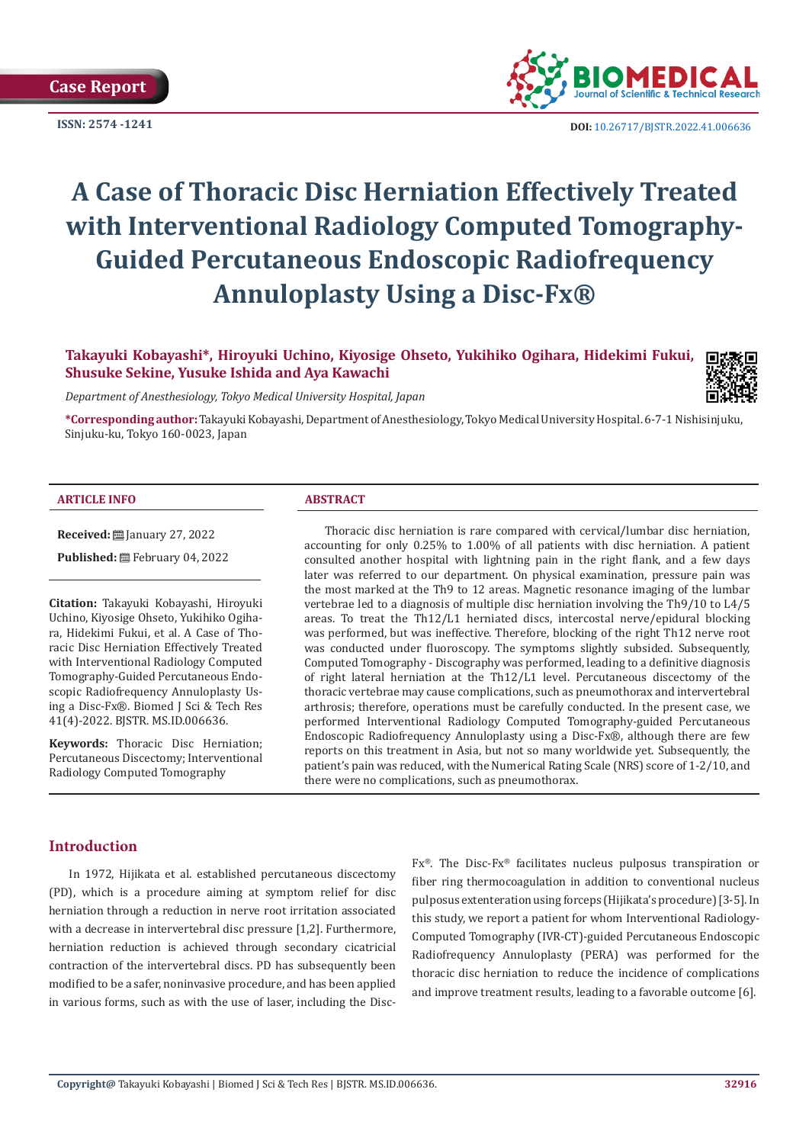

**ISSN:** 2574 -1241 **DOI:** [10.26717/BJSTR.2022.41.006636](https://dx.doi.org/10.26717/BJSTR.2022.41.006636)

# **A Case of Thoracic Disc Herniation Effectively Treated with Interventional Radiology Computed Tomography-Guided Percutaneous Endoscopic Radiofrequency Annuloplasty Using a Disc-Fx®**

**Takayuki Kobayashi\*, Hiroyuki Uchino, Kiyosige Ohseto, Yukihiko Ogihara, Hidekimi Fukui, Shusuke Sekine, Yusuke Ishida and Aya Kawachi** 

*Department of Anesthesiology, Tokyo Medical University Hospital, Japan* 

**\*Corresponding author:** Takayuki Kobayashi, Department of Anesthesiology, Tokyo Medical University Hospital. 6-7-1 Nishisinjuku, Sinjuku-ku, Tokyo 160-0023, Japan

#### **ARTICLE INFO ABSTRACT**

**Received:** ■ January 27, 2022

Published: <sup>[26]</sup> February 04, 2022

**Citation:** Takayuki Kobayashi, Hiroyuki Uchino, Kiyosige Ohseto, Yukihiko Ogihara, Hidekimi Fukui, et al. A Case of Thoracic Disc Herniation Effectively Treated with Interventional Radiology Computed Tomography-Guided Percutaneous Endoscopic Radiofrequency Annuloplasty Using a Disc-Fx®. Biomed J Sci & Tech Res 41(4)-2022. BJSTR. MS.ID.006636.

**Keywords:** Thoracic Disc Herniation; Percutaneous Discectomy; Interventional Radiology Computed Tomography

Thoracic disc herniation is rare compared with cervical/lumbar disc herniation, accounting for only 0.25% to 1.00% of all patients with disc herniation. A patient consulted another hospital with lightning pain in the right flank, and a few days later was referred to our department. On physical examination, pressure pain was the most marked at the Th9 to 12 areas. Magnetic resonance imaging of the lumbar vertebrae led to a diagnosis of multiple disc herniation involving the Th9/10 to L4/5 areas. To treat the Th12/L1 herniated discs, intercostal nerve/epidural blocking was performed, but was ineffective. Therefore, blocking of the right Th12 nerve root was conducted under fluoroscopy. The symptoms slightly subsided. Subsequently, Computed Tomography - Discography was performed, leading to a definitive diagnosis of right lateral herniation at the Th12/L1 level. Percutaneous discectomy of the thoracic vertebrae may cause complications, such as pneumothorax and intervertebral arthrosis; therefore, operations must be carefully conducted. In the present case, we performed Interventional Radiology Computed Tomography-guided Percutaneous Endoscopic Radiofrequency Annuloplasty using a Disc-Fx®, although there are few reports on this treatment in Asia, but not so many worldwide yet. Subsequently, the patient's pain was reduced, with the Numerical Rating Scale (NRS) score of 1-2/10, and there were no complications, such as pneumothorax.

# **Introduction**

In 1972, Hijikata et al. established percutaneous discectomy (PD), which is a procedure aiming at symptom relief for disc herniation through a reduction in nerve root irritation associated with a decrease in intervertebral disc pressure [1,2]. Furthermore, herniation reduction is achieved through secondary cicatricial contraction of the intervertebral discs. PD has subsequently been modified to be a safer, noninvasive procedure, and has been applied in various forms, such as with the use of laser, including the DiscFx®. The Disc-Fx® facilitates nucleus pulposus transpiration or fiber ring thermocoagulation in addition to conventional nucleus pulposus extenteration using forceps (Hijikata's procedure) [3-5]. In this study, we report a patient for whom Interventional Radiology-Computed Tomography (IVR-CT)-guided Percutaneous Endoscopic Radiofrequency Annuloplasty (PERA) was performed for the thoracic disc herniation to reduce the incidence of complications and improve treatment results, leading to a favorable outcome [6].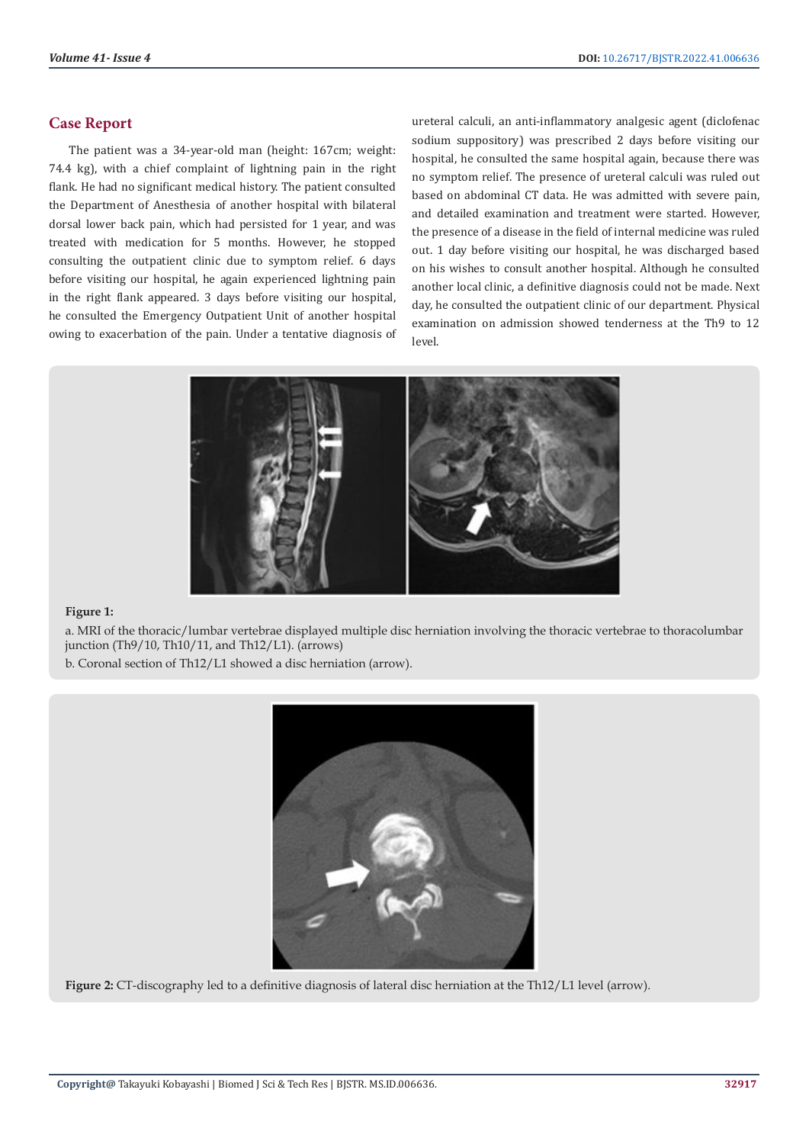# **Case Report**

The patient was a 34-year-old man (height: 167cm; weight: 74.4 kg), with a chief complaint of lightning pain in the right flank. He had no significant medical history. The patient consulted the Department of Anesthesia of another hospital with bilateral dorsal lower back pain, which had persisted for 1 year, and was treated with medication for 5 months. However, he stopped consulting the outpatient clinic due to symptom relief. 6 days before visiting our hospital, he again experienced lightning pain in the right flank appeared. 3 days before visiting our hospital, he consulted the Emergency Outpatient Unit of another hospital owing to exacerbation of the pain. Under a tentative diagnosis of ureteral calculi, an anti-inflammatory analgesic agent (diclofenac sodium suppository) was prescribed 2 days before visiting our hospital, he consulted the same hospital again, because there was no symptom relief. The presence of ureteral calculi was ruled out based on abdominal CT data. He was admitted with severe pain, and detailed examination and treatment were started. However, the presence of a disease in the field of internal medicine was ruled out. 1 day before visiting our hospital, he was discharged based on his wishes to consult another hospital. Although he consulted another local clinic, a definitive diagnosis could not be made. Next day, he consulted the outpatient clinic of our department. Physical examination on admission showed tenderness at the Th9 to 12 level.



### **Figure 1:**

a. MRI of the thoracic/lumbar vertebrae displayed multiple disc herniation involving the thoracic vertebrae to thoracolumbar junction (Th9/10, Th10/11, and Th12/L1). (arrows)

b. Coronal section of Th12/L1 showed a disc herniation (arrow).



**Figure 2:** CT-discography led to a definitive diagnosis of lateral disc herniation at the Th12/L1 level (arrow).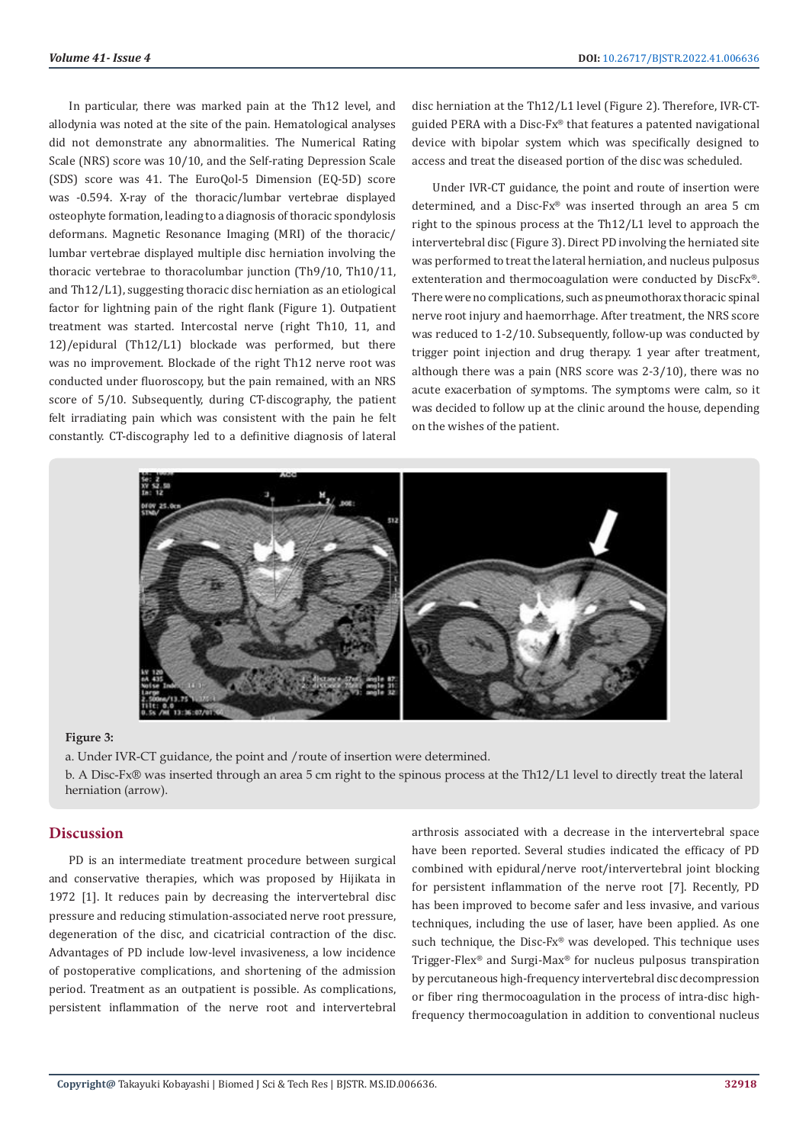In particular, there was marked pain at the Th12 level, and allodynia was noted at the site of the pain. Hematological analyses did not demonstrate any abnormalities. The Numerical Rating Scale (NRS) score was 10/10, and the Self-rating Depression Scale (SDS) score was 41. The EuroQol-5 Dimension (EQ-5D) score was -0.594. X-ray of the thoracic/lumbar vertebrae displayed osteophyte formation, leading to a diagnosis of thoracic spondylosis deformans. Magnetic Resonance Imaging (MRI) of the thoracic/ lumbar vertebrae displayed multiple disc herniation involving the thoracic vertebrae to thoracolumbar junction (Th9/10, Th10/11, and Th12/L1), suggesting thoracic disc herniation as an etiological factor for lightning pain of the right flank (Figure 1). Outpatient treatment was started. Intercostal nerve (right Th10, 11, and 12)/epidural (Th12/L1) blockade was performed, but there was no improvement. Blockade of the right Th12 nerve root was conducted under fluoroscopy, but the pain remained, with an NRS score of 5/10. Subsequently, during CT-discography, the patient felt irradiating pain which was consistent with the pain he felt constantly. CT-discography led to a definitive diagnosis of lateral disc herniation at the Th12/L1 level (Figure 2). Therefore, IVR-CTguided PERA with a Disc-Fx® that features a patented navigational device with bipolar system which was specifically designed to access and treat the diseased portion of the disc was scheduled.

Under IVR-CT guidance, the point and route of insertion were determined, and a Disc-Fx® was inserted through an area 5 cm right to the spinous process at the Th12/L1 level to approach the intervertebral disc (Figure 3). Direct PD involving the herniated site was performed to treat the lateral herniation, and nucleus pulposus extenteration and thermocoagulation were conducted by DiscFx®. There were no complications, such as pneumothorax thoracic spinal nerve root injury and haemorrhage. After treatment, the NRS score was reduced to 1-2/10. Subsequently, follow-up was conducted by trigger point injection and drug therapy. 1 year after treatment, although there was a pain (NRS score was 2-3/10), there was no acute exacerbation of symptoms. The symptoms were calm, so it was decided to follow up at the clinic around the house, depending on the wishes of the patient.



#### **Figure 3:**

a. Under IVR-CT guidance, the point and /route of insertion were determined.

b. A Disc-Fx® was inserted through an area 5 cm right to the spinous process at the Th12/L1 level to directly treat the lateral herniation (arrow).

## **Discussion**

PD is an intermediate treatment procedure between surgical and conservative therapies, which was proposed by Hijikata in 1972 [1]. It reduces pain by decreasing the intervertebral disc pressure and reducing stimulation-associated nerve root pressure, degeneration of the disc, and cicatricial contraction of the disc. Advantages of PD include low-level invasiveness, a low incidence of postoperative complications, and shortening of the admission period. Treatment as an outpatient is possible. As complications, persistent inflammation of the nerve root and intervertebral arthrosis associated with a decrease in the intervertebral space have been reported. Several studies indicated the efficacy of PD combined with epidural/nerve root/intervertebral joint blocking for persistent inflammation of the nerve root [7]. Recently, PD has been improved to become safer and less invasive, and various techniques, including the use of laser, have been applied. As one such technique, the Disc-Fx® was developed. This technique uses Trigger-Flex® and Surgi-Max® for nucleus pulposus transpiration by percutaneous high-frequency intervertebral disc decompression or fiber ring thermocoagulation in the process of intra-disc highfrequency thermocoagulation in addition to conventional nucleus